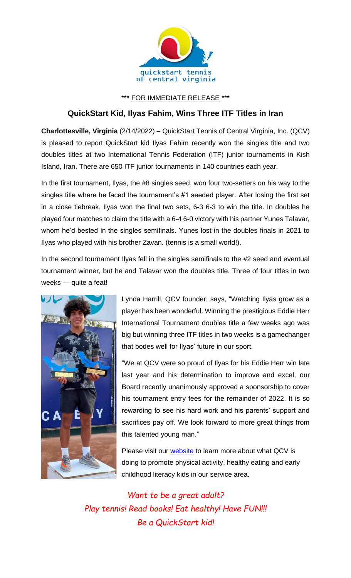

\*\*\* FOR IMMEDIATE RELEASE \*\*\*

## **QuickStart Kid, Ilyas Fahim, Wins Three ITF Titles in Iran**

**Charlottesville, Virginia** (2/14/2022) – QuickStart Tennis of Central Virginia, Inc. (QCV) is pleased to report QuickStart kid Ilyas Fahim recently won the singles title and two doubles titles at two International Tennis Federation (ITF) junior tournaments in Kish Island, Iran. There are 650 ITF junior tournaments in 140 countries each year.

In the first tournament, Ilyas, the #8 singles seed, won four two-setters on his way to the singles title where he faced the tournament's #1 seeded player. After losing the first set in a close tiebreak, Ilyas won the final two sets, 6-3 6-3 to win the title. In doubles he played four matches to claim the title with a 6-4 6-0 victory with his partner Yunes Talavar, whom he'd bested in the singles semifinals. Yunes lost in the doubles finals in 2021 to Ilyas who played with his brother Zavan. (tennis is a small world!).

In the second tournament Ilyas fell in the singles semifinals to the #2 seed and eventual tournament winner, but he and Talavar won the doubles title. Three of four titles in two weeks — quite a feat!



Lynda Harrill, QCV founder, says, "Watching Ilyas grow as a player has been wonderful. Winning the prestigious Eddie Herr International Tournament doubles title a few weeks ago was big but winning three ITF titles in two weeks is a gamechanger that bodes well for Ilyas' future in our sport.

"We at QCV were so proud of Ilyas for his Eddie Herr win late last year and his determination to improve and excel, our Board recently unanimously approved a sponsorship to cover his tournament entry fees for the remainder of 2022. It is so rewarding to see his hard work and his parents' support and sacrifices pay off. We look forward to more great things from this talented young man."

Please visit our **website** to learn more about what QCV is doing to promote physical activity, healthy eating and early childhood literacy kids in our service area.

*Want to be a great adult? Play tennis! Read books! Eat healthy! Have FUN!!! Be a QuickStart kid!*